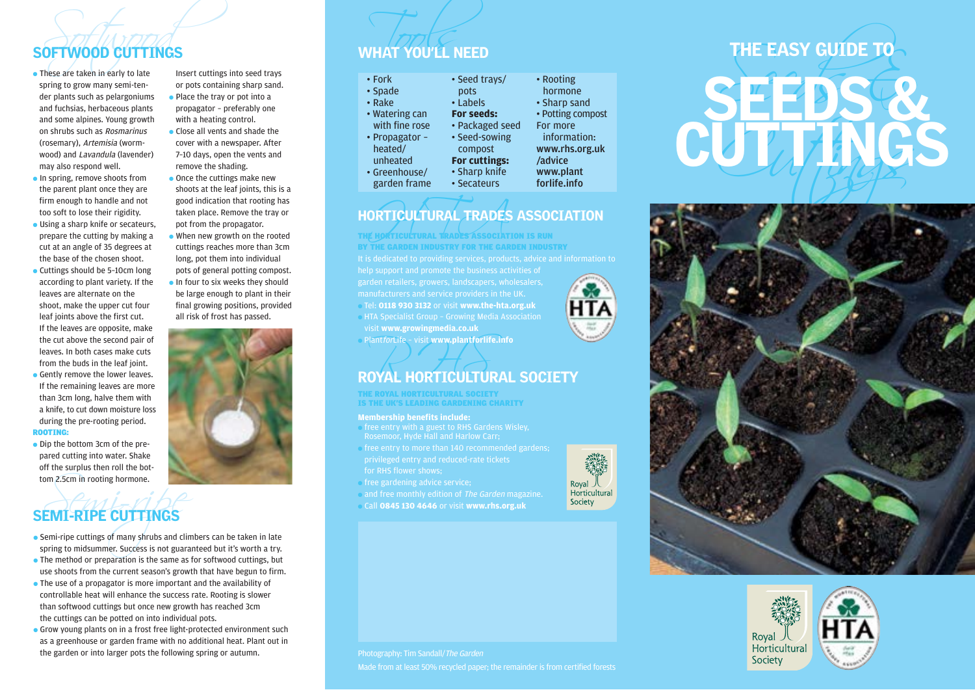## SOFTWOOD CUTTINGS WHAT YOU'LL NEED

- spring to grow many semi-tender plants such as pelargoniums and fuchsias, herbaceous plants and some alpines. Young growth on shrubs such as Rosmarinus (rosemary), Artemisia (wormwood) and Lavandula (lavender) may also respond well.
- In spring, remove shoots from the parent plant once they are firm enough to handle and not too soft to lose their rigidity.
- Using a sharp knife or secateurs, prepare the cutting by making a cut at an angle of 35 degrees at the base of the chosen shoot.
- Cuttings should be 5-10cm long according to plant variety. If the leaves are alternate on the shoot, make the upper cut four leaf joints above the first cut. If the leaves are opposite, make the cut above the second pair of leaves. In both cases make cuts from the buds in the leaf joint.
- Gently remove the lower leaves. If the remaining leaves are more than 3cm long, halve them with a knife, to cut down moisture loss during the pre-rooting period.

## ROOTING:

● Dip the bottom 3cm of the prepared cutting into water. Shake off the surplus then roll the bottom 2.5cm in rooting hormone.

# Sem in rooting hormone.<br>
Semi-ripe cuttings of many shrubs and clim<br>
pring to midsummer. Success is not guaranty SEMI-RIPE CUTTINGS

- Semi-ripe cuttings of many shrubs and climbers can be taken in late spring to midsummer. Success is not guaranteed but it's worth a try.
- $\bullet$  The method or preparation is the same as for softwood cuttings, but use shoots from the current season's growth that have begun to firm.
- The use of a propagator is more important and the availability of controllable heat will enhance the success rate. Rooting is slower than softwood cuttings but once new growth has reached 3cm the cuttings can be potted on into individual pots.
- Grow young plants on in a frost free light-protected environment such as a greenhouse or garden frame with no additional heat. Plant out in the garden or into larger pots the following spring or autumn.

Insert cuttings into seed trays or pots containing sharp sand. ● Place the tray or pot into a propagator – preferably one with a heating control.

- Close all vents and shade the cover with a newspaper. After 7–10 days, open the vents and remove the shading.
- Once the cuttings make new shoots at the leaf joints, this is a good indication that rooting has taken place. Remove the tray or pot from the propagator.
- When new growth on the rooted cuttings reaches more than 3cm long, pot them into individual pots of general potting compost. ● In four to six weeks they should be large enough to plant in their final growing positions, provided





• Packaged seed • Seed-sowing • Rooting hormone • Sharp sand • Potting compost For more information: www.rhs.org.uk /advice www.plant forlife.info

## HORTICULTURAL TRADES ASSOCIATION

• Seed trays/ pots • Labels **For seeds:**

compost **For cuttings:** • Sharp knife • Secateurs

ORTICULTURAL TRADES ● Tel: **0118 930 3132** or visit **www.the-hta.org.uk**  $\bullet$  HTA Specialist Group - Growing Media Association visit **www.growingmedia.co.uk** THE HORTICULTURAL TRADES ASSOCIATION IS RUN BY THE GARDEN INDUSTRY FOR THE GARDEN INDUSTRY

● PlantforLife – visit **www.plantforlife.info**

# Plant*for*Life - visit www.plantforlife.info<br>ROYAL HORTICULTURAL SOCIETY

THE ROYAL HORTICULTURAL SOCIETY IS THE UK'S LEADING GARDENING CHARITY

### **Membership benefits include:**

- free entry with a guest to RHS Gardens Wisley, Rosemoor, Hyde Hall and Harlow Carr;
- free entry to more than 140 recommended gardens; for RHS flower shows;
- free gardening advice service;
- and free monthly edition of The Garden magazine.
- Call **0845 130 4646** or visit **www.rhs.org.uk**



# THE EASY GUIDE TO CUTTINGS THE EASY GUIDE TO





## Photography: Tim Sandall/The Garden

Made from at least 50% recycled paper; the remainder is from certified forests

- 
-